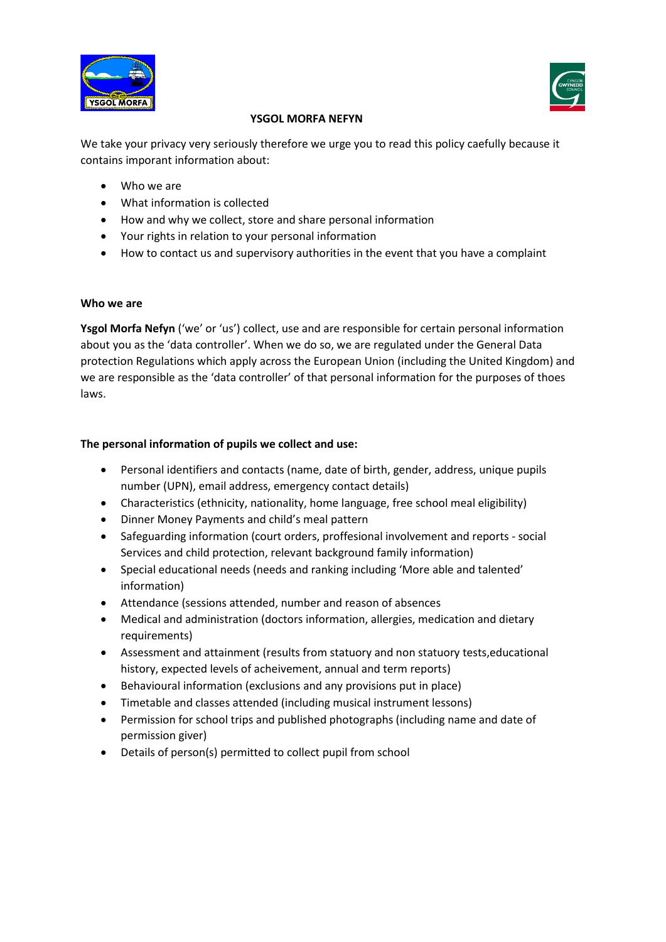



## **YSGOL MORFA NEFYN**

We take your privacy very seriously therefore we urge you to read this policy caefully because it contains imporant information about:

- Who we are
- What information is collected
- How and why we collect, store and share personal information
- Your rights in relation to your personal information
- How to contact us and supervisory authorities in the event that you have a complaint

#### **Who we are**

**Ysgol Morfa Nefyn** ('we' or 'us') collect, use and are responsible for certain personal information about you as the 'data controller'. When we do so, we are regulated under the General Data protection Regulations which apply across the European Union (including the United Kingdom) and we are responsible as the 'data controller' of that personal information for the purposes of thoes laws.

#### **The personal information of pupils we collect and use:**

- Personal identifiers and contacts (name, date of birth, gender, address, unique pupils number (UPN), email address, emergency contact details)
- Characteristics (ethnicity, nationality, home language, free school meal eligibility)
- Dinner Money Payments and child's meal pattern
- Safeguarding information (court orders, proffesional involvement and reports social Services and child protection, relevant background family information)
- Special educational needs (needs and ranking including 'More able and talented' information)
- Attendance (sessions attended, number and reason of absences
- Medical and administration (doctors information, allergies, medication and dietary requirements)
- Assessment and attainment (results from statuory and non statuory tests,educational history, expected levels of acheivement, annual and term reports)
- Behavioural information (exclusions and any provisions put in place)
- Timetable and classes attended (including musical instrument lessons)
- Permission for school trips and published photographs (including name and date of permission giver)
- Details of person(s) permitted to collect pupil from school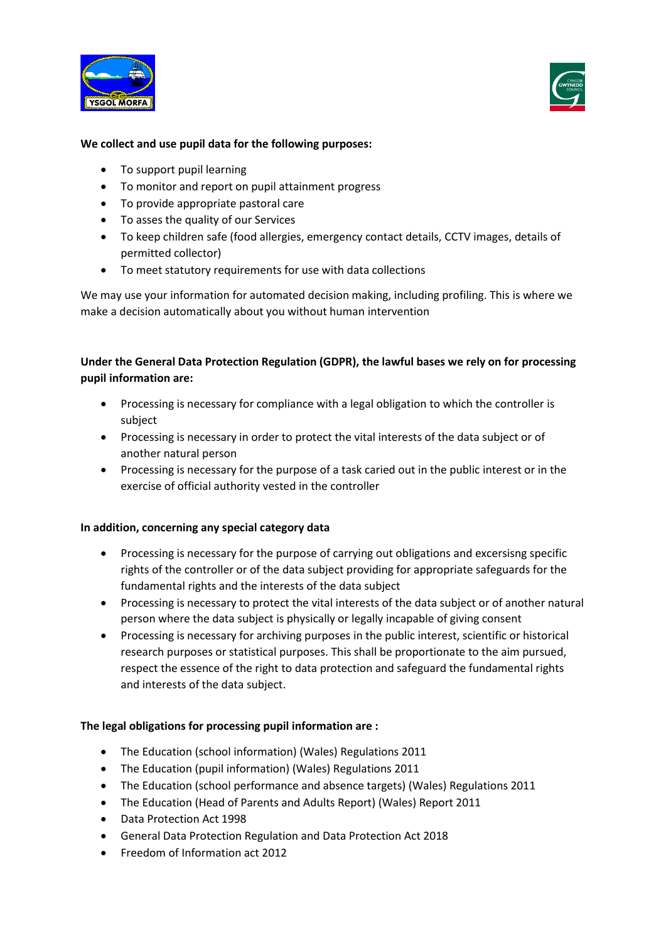



### **We collect and use pupil data for the following purposes:**

- To support pupil learning
- To monitor and report on pupil attainment progress
- To provide appropriate pastoral care
- To asses the quality of our Services
- To keep children safe (food allergies, emergency contact details, CCTV images, details of permitted collector)
- To meet statutory requirements for use with data collections

We may use your information for automated decision making, including profiling. This is where we make a decision automatically about you without human intervention

# **Under the General Data Protection Regulation (GDPR), the lawful bases we rely on for processing pupil information are:**

- Processing is necessary for compliance with a legal obligation to which the controller is subject
- Processing is necessary in order to protect the vital interests of the data subject or of another natural person
- Processing is necessary for the purpose of a task caried out in the public interest or in the exercise of official authority vested in the controller

#### **In addition, concerning any special category data**

- Processing is necessary for the purpose of carrying out obligations and excersisng specific rights of the controller or of the data subject providing for appropriate safeguards for the fundamental rights and the interests of the data subject
- Processing is necessary to protect the vital interests of the data subject or of another natural person where the data subject is physically or legally incapable of giving consent
- Processing is necessary for archiving purposes in the public interest, scientific or historical research purposes or statistical purposes. This shall be proportionate to the aim pursued, respect the essence of the right to data protection and safeguard the fundamental rights and interests of the data subject.

#### **The legal obligations for processing pupil information are :**

- The Education (school information) (Wales) Regulations 2011
- The Education (pupil information) (Wales) Regulations 2011
- The Education (school performance and absence targets) (Wales) Regulations 2011
- The Education (Head of Parents and Adults Report) (Wales) Report 2011
- Data Protection Act 1998
- General Data Protection Regulation and Data Protection Act 2018
- Freedom of Information act 2012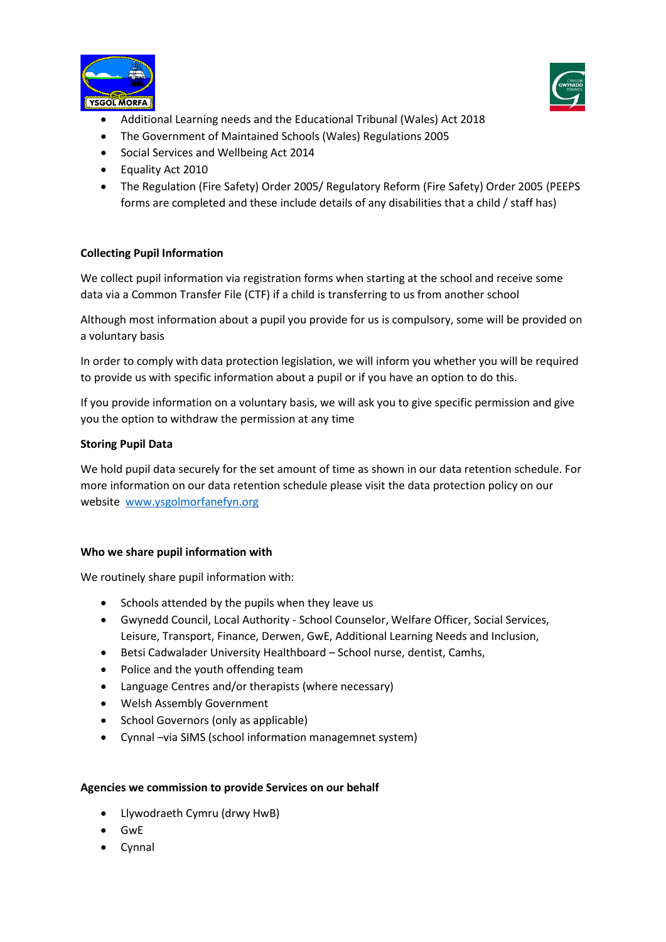



- Additional Learning needs and the Educational Tribunal (Wales) Act 2018
- The Government of Maintained Schools (Wales) Regulations 2005
- Social Services and Wellbeing Act 2014
- Equality Act 2010
- The Regulation (Fire Safety) Order 2005/ Regulatory Reform (Fire Safety) Order 2005 (PEEPS forms are completed and these include details of any disabilities that a child / staff has)

## **Collecting Pupil Information**

We collect pupil information via registration forms when starting at the school and receive some data via a Common Transfer File (CTF) if a child is transferring to us from another school

Although most information about a pupil you provide for us is compulsory, some will be provided on a voluntary basis

In order to comply with data protection legislation, we will inform you whether you will be required to provide us with specific information about a pupil or if you have an option to do this.

If you provide information on a voluntary basis, we will ask you to give specific permission and give you the option to withdraw the permission at any time

## **Storing Pupil Data**

We hold pupil data securely for the set amount of time as shown in our data retention schedule. For more information on our data retention schedule please visit the data protection policy on our website [www.ysgolmorfanefyn.org](http://www.ysgolmorfanefyn.org/)

## **Who we share pupil information with**

We routinely share pupil information with:

- Schools attended by the pupils when they leave us
- Gwynedd Council, Local Authority School Counselor, Welfare Officer, Social Services, Leisure, Transport, Finance, Derwen, GwE, Additional Learning Needs and Inclusion,
- Betsi Cadwalader University Healthboard School nurse, dentist, Camhs,
- Police and the youth offending team
- Language Centres and/or therapists (where necessary)
- Welsh Assembly Government
- School Governors (only as applicable)
- Cynnal –via SIMS (school information managemnet system)

## **Agencies we commission to provide Services on our behalf**

- Llywodraeth Cymru (drwy HwB)
- GwE
- Cynnal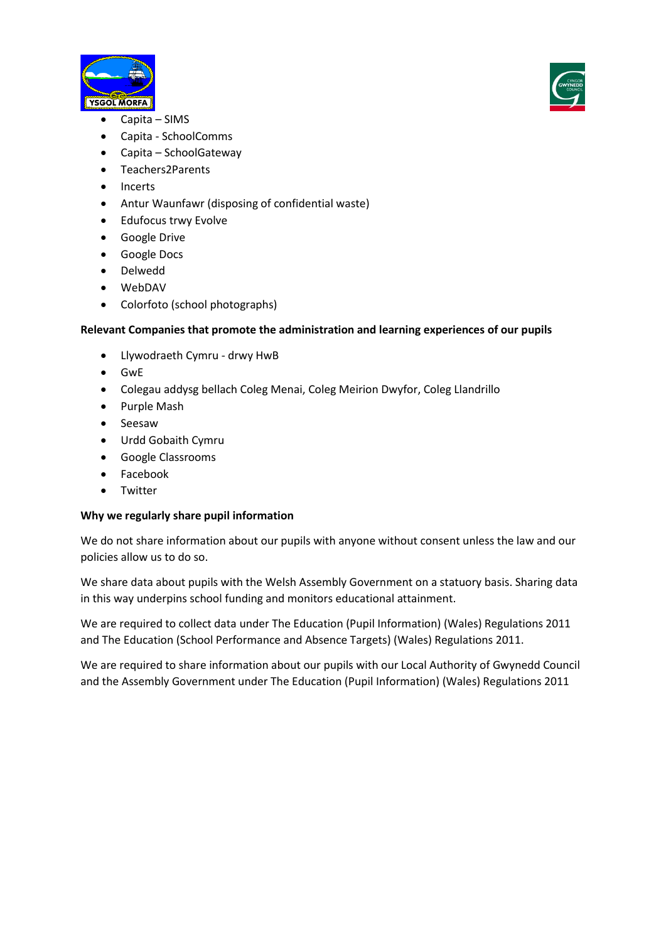



- Capita SIMS
- Capita SchoolComms
- Capita SchoolGateway
- Teachers2Parents
- Incerts
- Antur Waunfawr (disposing of confidential waste)
- Edufocus trwy Evolve
- Google Drive
- Google Docs
- Delwedd
- WebDAV
- Colorfoto (school photographs)

## **Relevant Companies that promote the administration and learning experiences of our pupils**

- Llywodraeth Cymru drwy HwB
- GwE
- Colegau addysg bellach Coleg Menai, Coleg Meirion Dwyfor, Coleg Llandrillo
- Purple Mash
- Seesaw
- Urdd Gobaith Cymru
- Google Classrooms
- Facebook
- Twitter

## **Why we regularly share pupil information**

We do not share information about our pupils with anyone without consent unless the law and our policies allow us to do so.

We share data about pupils with the Welsh Assembly Government on a statuory basis. Sharing data in this way underpins school funding and monitors educational attainment.

We are required to collect data under The Education (Pupil Information) (Wales) Regulations 2011 and The Education (School Performance and Absence Targets) (Wales) Regulations 2011.

We are required to share information about our pupils with our Local Authority of Gwynedd Council and the Assembly Government under The Education (Pupil Information) (Wales) Regulations 2011